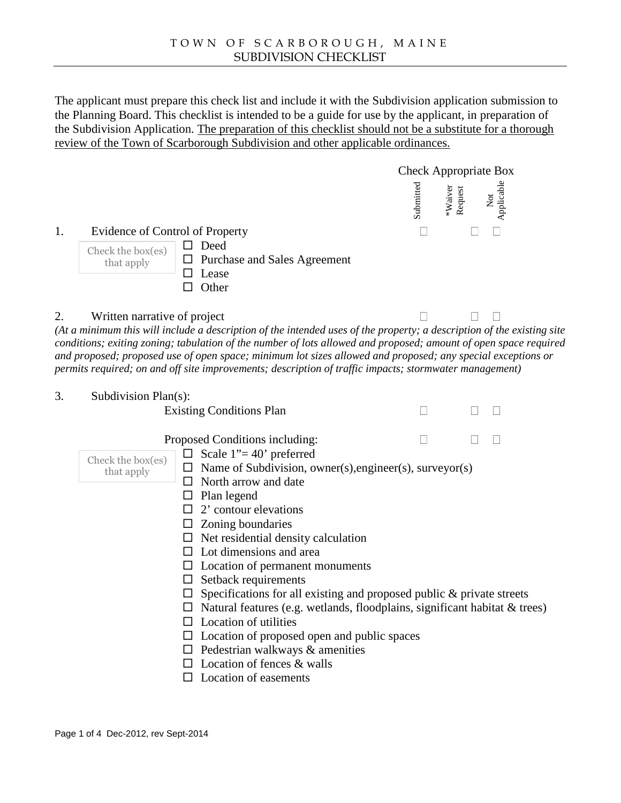The applicant must prepare this check list and include it wit**Sthedonapplicationsubmission to** the Planning Board. This checklist is intended to be deglidir use by the applicant, prineparation of the SubdivisionApplication. The preparation fahis checklist should not be a substitute for a thorough review of the Town of Scarborough Suivisionand other applicable ordinances.

Check Appropriate Box

| Submitted<br>Request<br>*Waiver | Not<br>Applicable |  |
|---------------------------------|-------------------|--|
|---------------------------------|-------------------|--|

1. Evidence of Control of Property

Check the b  $\delta$  Deed that apply  $\delta$  Purchase and Sales Agreement ð¨ Lease

ð¨ Other

2. Written narrative of project

(At a minimum this will include a description of the intended uses of the property; a description of the existing site conditions; atting zoning; tabulation of the number of lots allowed and proposed; amount of open space required and proposed; proposed use of open space; minimum lot sizes allowed and proposed; any special exceptions or permits required; on and off site improvements scription of traffic impacts; stormwater management)

3. Subdivision Pla(s):

**Existing Conditions Plan** 

Proposed Conditions including:

ð¨ Scale1€=40• preferred Check the box Subdivision, owner(s), engineer(s), surveyor(s) ð¨ North arrow and date ð "Plan bgend ð¨ 2• contour elevations that apply

- ð¨ Zoning boundaries
- ð" Net residentialdensity calculation
- ð¨ Lot dimensions and area
- ð¨ Location of permanent monuments
- ð¨ Setback requirements
- ð¨ Specifications for all existingand proposed public & private streets
- ð Natural features (e.gvetlands floodplains, significant habitat trees)
- ð¨ Location of utilities
- ð Location of proposed open apdblic spaces
- ð¨ Pedestrian walkways & amenities
- ð¨ Location of fences & walls
- ð¨ Location of easements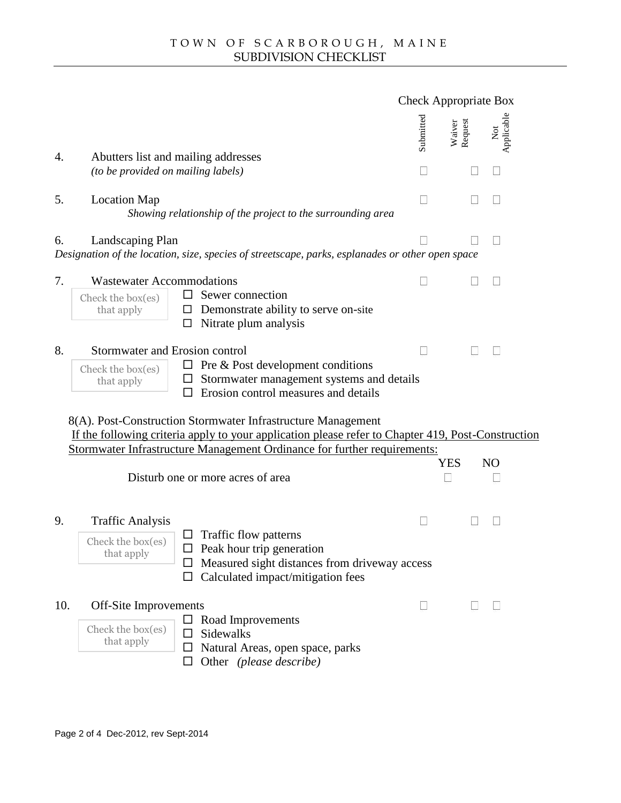# Check Appropriate Box

| Applicable<br>equest<br>Submitte<br>Waive<br>ă<br>ě |
|-----------------------------------------------------|
|-----------------------------------------------------|

4. Abutters list andmailing addresses (to be provided on mailing labels)

# 5. Location Map

Showing relationship of the project to the surrounding area

#### 6. Landscaping Plan

Designationof the location, size, speciesstreetscapeparks, esplanades or othepen space

### 7. Wastewater Accommodations

|  |  | Check the $b$ $\delta$ Sewer connection            |
|--|--|----------------------------------------------------|
|  |  | that apply $\delta$ " Demonstrate ability to serve |
|  |  | XIII. Alliante alcuna na classica                  |

- 
- that apply  $\delta$  Demonstrate ability to serve on the
	- ð¨ Nitrate plum analysis

### 8. Stormwater and Erosion control

| Check the b |            |  |
|-------------|------------|--|
|             | that apply |  |

- Check the b  $\delta$  Pre & Post development conditions
	- that apply  $\delta$  Stormwater management systeme details
		- ð¨ Erosion control measures and details

8(A). PostConstruction Stormwater Infrastructure Management If the following criteria apply to your application please refer to Chapter 419, Postruction Stormwater Infrastructure Managent Ordinance for further requirements: straining addresses<br>
aliting addresses<br>
mailing labels)<br>
Intionship of the project to the surrounding area<br>
size, species are active ability to serve ontie<br>
or mormodations<br>
or Sewer connection<br>
or Sewer connection<br>
or Se

YES NO

Disturb one or more acres of area

#### 9. Traffic Analysis

 $Check the b$ that apply

- ð¨ Traffic flow patterns
- ð¨ Peak hour trip generation
- ð "Measured sight distances from hiveway access
- ð Calculated impactnitigationfees

#### 10. Off-Site Improvements

- ð¨ Sidewalks  $Check the b$
- ð¨ Road Improvements

that apply

- 
- ð¨ Natural Areasopen space, parks<br>ð¨ Other (please describe)
	-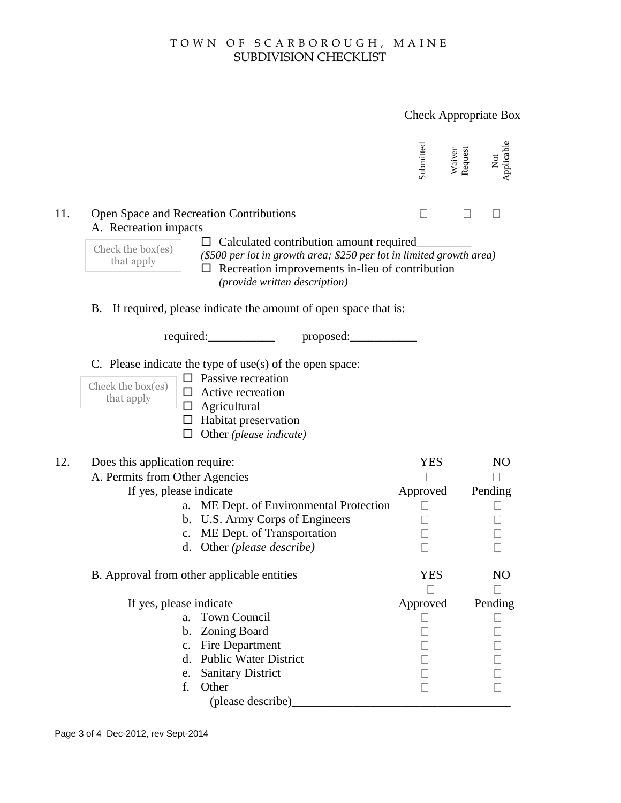Check Appropriate Box



#### 11. Open Space and Recreation Contributions A. Recreation impacts

| Check the b |  |
|-------------|--|
| that apply  |  |

- ð Calculated contribution amoting quired\_  $\begin{bmatrix} \text{Check the b} \\ \text{the c k.} \end{bmatrix}$  (\$500 per lot in growth area; \$250 per lot in limited growth area) that apply<br>  $\delta$  Recreation improvements-lieu of contribution (provide written description)
- B. If required, please indicate the amount of open space that is:

# C. Please indicate the type of use(s) of the open space:

|  | ð" Passive recreation                                                           |  |
|--|---------------------------------------------------------------------------------|--|
|  |                                                                                 |  |
|  | Check the b $\delta$ Active recreation<br>that apply $\delta$ Active recreation |  |

|     |                                                                                                                                                                                                                                                                                                                                                                                                                              | Submitted<br>Waiver<br>Request | Not<br>Applicable    |  |
|-----|------------------------------------------------------------------------------------------------------------------------------------------------------------------------------------------------------------------------------------------------------------------------------------------------------------------------------------------------------------------------------------------------------------------------------|--------------------------------|----------------------|--|
| 11. | Open Space and Recreation Contributions<br>A. Recreation impacts<br>Check the b<br>(\$500 per lot in growth area; \$250 per lot in limited growth area)<br>$\overline{A}^{\text{th} \text{at} \text{appl}}$ $\overline{A}^{\text{th}}$ Recreation improvements that<br>ð" Recreation improvements-lieu of contribution<br>(provide written description)<br>B. If required, please indicate the amount of open space that is: |                                |                      |  |
|     | required: required: proposed:                                                                                                                                                                                                                                                                                                                                                                                                |                                |                      |  |
|     | C. Please indicate the type of use(s) of the open space:<br>Check the b $\delta$ Passive recreation<br>that apply $\delta$ Active recreation<br>$\delta$ Agricultural<br>ð" Habitat preservation<br>ð" Other(please indicate)                                                                                                                                                                                                |                                |                      |  |
| 12. | Does this application require:<br>A. Permits from Other Agencies<br>If yes, please indicate<br>a. ME Dept. of Environmental Protection<br>b. U.S. Army Corps of Engineers<br>c. ME Dept. of Transportation<br>d. Other(please describe)                                                                                                                                                                                      | YES<br>Approved                | <b>NO</b><br>Pending |  |
|     | B. Approval from othe applicable entities                                                                                                                                                                                                                                                                                                                                                                                    | <b>YES</b>                     | <b>NO</b>            |  |
|     | If yes, please indicate<br>a. Town Council<br>b. Zoning Board<br>c. Fire Department<br>d. Public Water District<br>e. Sanitary District<br>f.<br>Other<br>(please describe)                                                                                                                                                                                                                                                  | Approved                       | Pending              |  |